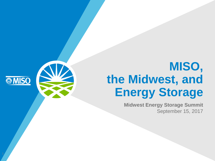# **MISO, the Midwest, and Energy Storage**

**Midwest Energy Storage Summit** September 15, 2017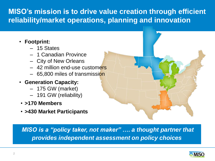# **MISO's mission is to drive value creation through efficient reliability/market operations, planning and innovation**

- **Footprint:**
	- ‒ 15 States
	- ‒ 1 Canadian Province
	- ‒ City of New Orleans
	- ‒ 42 million end-use customers
	- 65,800 miles of transmission
- **Generation Capacity:**
	- ‒ 175 GW (market)
	- ‒ 191 GW (reliability)
- **>170 Members**
- **>430 Market Participants**

•*MISO is a "policy taker, not maker" …. a thought partner that provides independent assessment on policy choices*

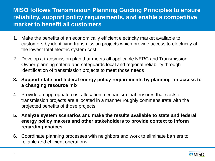#### **MISO follows Transmission Planning Guiding Principles to ensure reliability, support policy requirements, and enable a competitive market to benefit all customers**

- 1. Make the benefits of an economically efficient electricity market available to customers by identifying transmission projects which provide access to electricity at the lowest total electric system cost
- 2. Develop a transmission plan that meets all applicable NERC and Transmission Owner planning criteria and safeguards local and regional reliability through identification of transmission projects to meet those needs
- **3. Support state and federal energy policy requirements by planning for access to a changing resource mix**
- 4. Provide an appropriate cost allocation mechanism that ensures that costs of transmission projects are allocated in a manner roughly commensurate with the projected benefits of those projects
- **5. Analyze system scenarios and make the results available to state and federal energy policy makers and other stakeholders to provide context to inform regarding choices**
- 6. Coordinate planning processes with neighbors and work to eliminate barriers to reliable and efficient operations

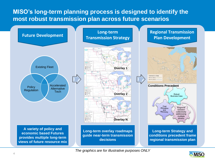#### **MISO's long-term planning process is designed to identify the most robust transmission plan across future scenarios**



*The graphics are for illustrative purposes ONLY*

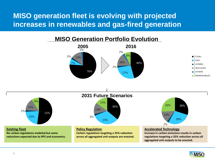### **MISO generation fleet is evolving with projected increases in renewables and gas-fired generation**





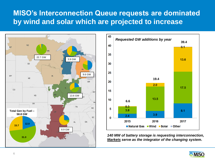#### **MISO's Interconnection Queue requests are dominated by wind and solar which are projected to increase**





*140 MW of battery storage is requesting interconnection, Markets serve as the integrator of the changing system.* 

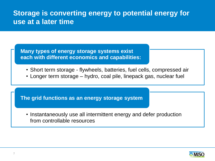#### **Storage is converting energy to potential energy for use at a later time**

**Many types of energy storage systems exist each with different economics and capabilities:** 

- Short term storage flywheels, batteries, fuel cells, compressed air
- Longer term storage hydro, coal pile, linepack gas, nuclear fuel

**The grid functions as an energy storage system**

• Instantaneously use all intermittent energy and defer production from controllable resources

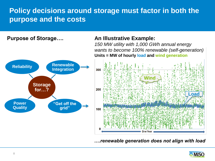### **Policy decisions around storage must factor in both the purpose and the costs**

#### **Purpose of Storage…. An Illustrative Example:**

*150 MW utility with 1,000 GWh annual energy wants to become 100% renewable (self-generation)* **Units = MW of hourly load and wind generation**

**Win** 



#### *….renewable generation does not align with load*

![](_page_7_Picture_6.jpeg)

**Load**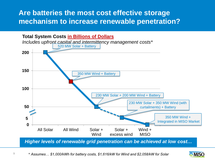#### **Are batteries the most cost effective storage mechanism to increase renewable penetration?**

![](_page_8_Figure_1.jpeg)

9

![](_page_8_Picture_3.jpeg)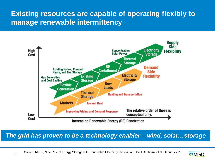### **Existing resources are capable of operating flexibly to manage renewable intermittency**

![](_page_9_Figure_1.jpeg)

#### *The grid has proven to be a technology enabler – wind, solar…storage*

10

![](_page_9_Picture_4.jpeg)